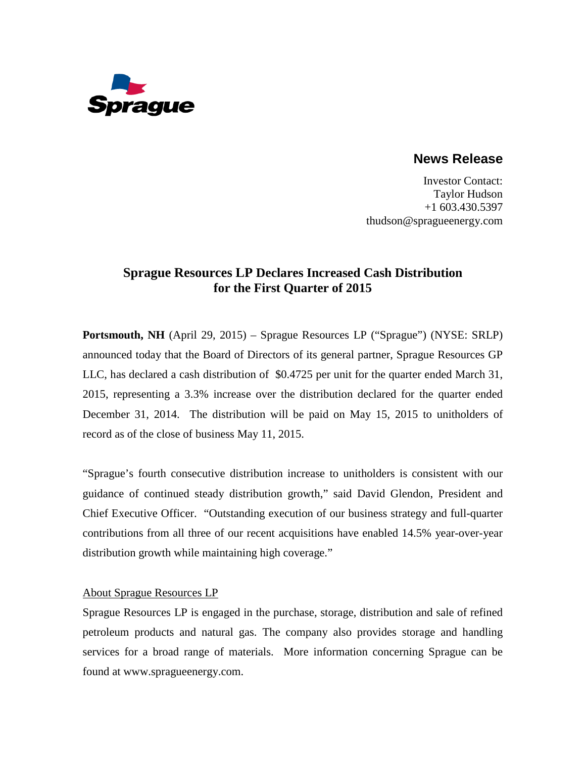

**News Release**

Investor Contact: Taylor Hudson +1 603.430.5397 thudson@spragueenergy.com

## **Sprague Resources LP Declares Increased Cash Distribution for the First Quarter of 2015**

**Portsmouth, NH** (April 29, 2015) – Sprague Resources LP ("Sprague") (NYSE: SRLP) announced today that the Board of Directors of its general partner, Sprague Resources GP LLC, has declared a cash distribution of \$0.4725 per unit for the quarter ended March 31, 2015, representing a 3.3% increase over the distribution declared for the quarter ended December 31, 2014. The distribution will be paid on May 15, 2015 to unitholders of record as of the close of business May 11, 2015.

"Sprague's fourth consecutive distribution increase to unitholders is consistent with our guidance of continued steady distribution growth," said David Glendon, President and Chief Executive Officer. "Outstanding execution of our business strategy and full-quarter contributions from all three of our recent acquisitions have enabled 14.5% year-over-year distribution growth while maintaining high coverage."

## About Sprague Resources LP

Sprague Resources LP is engaged in the purchase, storage, distribution and sale of refined petroleum products and natural gas. The company also provides storage and handling services for a broad range of materials. More information concerning Sprague can be found at [www.spragueenergy.com.](http://www.spragueenergy.com/)